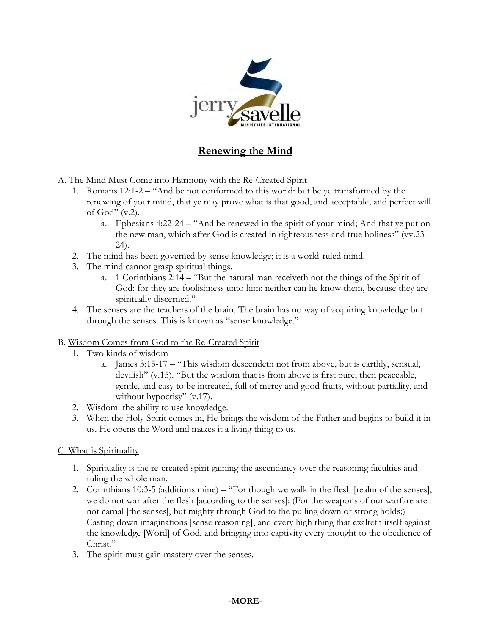

# **Renewing the Mind**

- A. The Mind Must Come into Harmony with the Re-Created Spirit
	- 1. Romans 12:1-2 "And be not conformed to this world: but be ye transformed by the renewing of your mind, that ye may prove what is that good, and acceptable, and perfect will of  $God'' (v.2)$ .
		- a. Ephesians 4:22-24 "And be renewed in the spirit of your mind; And that ye put on the new man, which after God is created in righteousness and true holiness" (vv.23- 24).
	- 2. The mind has been governed by sense knowledge; it is a world-ruled mind.
	- 3. The mind cannot grasp spiritual things.
		- a. 1 Corinthians 2:14 "But the natural man receiveth not the things of the Spirit of God: for they are foolishness unto him: neither can he know them, because they are spiritually discerned."
	- 4. The senses are the teachers of the brain. The brain has no way of acquiring knowledge but through the senses. This is known as "sense knowledge."

#### B. Wisdom Comes from God to the Re-Created Spirit

- 1. Two kinds of wisdom
	- a. James 3:15-17 "This wisdom descendeth not from above, but is earthly, sensual, devilish" (v.15). "But the wisdom that is from above is first pure, then peaceable, gentle, and easy to be intreated, full of mercy and good fruits, without partiality, and without hypocrisy" (v.17).
- 2. Wisdom: the ability to use knowledge.
- 3. When the Holy Spirit comes in, He brings the wisdom of the Father and begins to build it in us. He opens the Word and makes it a living thing to us.

#### C. What is Spirituality

- 1. Spirituality is the re-created spirit gaining the ascendancy over the reasoning faculties and ruling the whole man.
- 2. Corinthians 10:3-5 (additions mine) "For though we walk in the flesh [realm of the senses], we do not war after the flesh [according to the senses]: (For the weapons of our warfare are not carnal [the senses], but mighty through God to the pulling down of strong holds;) Casting down imaginations [sense reasoning], and every high thing that exalteth itself against the knowledge [Word] of God, and bringing into captivity every thought to the obedience of Christ."
- 3. The spirit must gain mastery over the senses.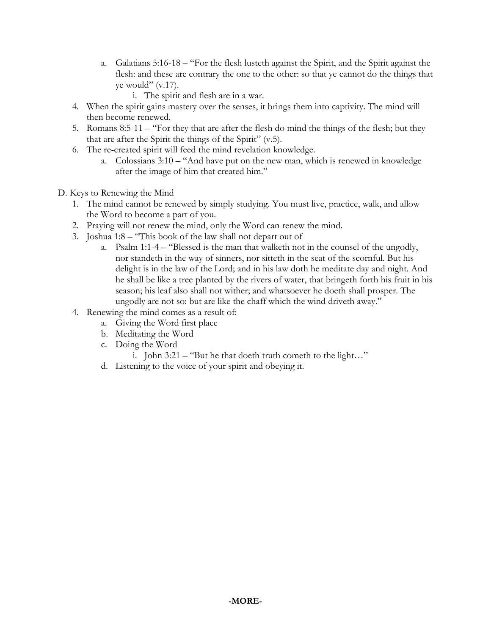- a. Galatians 5:16-18 "For the flesh lusteth against the Spirit, and the Spirit against the flesh: and these are contrary the one to the other: so that ye cannot do the things that ye would"  $(v.17)$ .
	- i. The spirit and flesh are in a war.
- 4. When the spirit gains mastery over the senses, it brings them into captivity. The mind will then become renewed.
- 5. Romans 8:5-11 "For they that are after the flesh do mind the things of the flesh; but they that are after the Spirit the things of the Spirit" (v.5).
- 6. The re-created spirit will feed the mind revelation knowledge.
	- a. Colossians 3:10 "And have put on the new man, which is renewed in knowledge after the image of him that created him."

### D. Keys to Renewing the Mind

- 1. The mind cannot be renewed by simply studying. You must live, practice, walk, and allow the Word to become a part of you.
- 2. Praying will not renew the mind, only the Word can renew the mind.
- 3. Joshua 1:8 "This book of the law shall not depart out of
	- a. Psalm 1:1-4 "Blessed is the man that walketh not in the counsel of the ungodly, nor standeth in the way of sinners, nor sitteth in the seat of the scornful. But his delight is in the law of the Lord; and in his law doth he meditate day and night. And he shall be like a tree planted by the rivers of water, that bringeth forth his fruit in his season; his leaf also shall not wither; and whatsoever he doeth shall prosper. The ungodly are not so: but are like the chaff which the wind driveth away."
- 4. Renewing the mind comes as a result of:
	- a. Giving the Word first place
	- b. Meditating the Word
	- c. Doing the Word
		- i. John 3:21 "But he that doeth truth cometh to the light…"
	- d. Listening to the voice of your spirit and obeying it.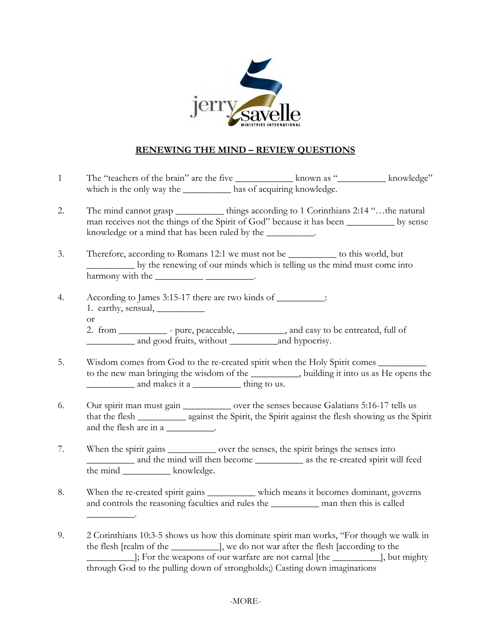

## **RENEWING THE MIND – REVIEW QUESTIONS**

- 1 The "teachers of the brain" are the five \_\_\_\_\_\_\_\_\_\_\_\_\_\_\_\_ known as "\_\_\_\_\_\_\_\_\_\_\_ knowledge" which is the only way the \_\_\_\_\_\_\_\_\_\_\_\_ has of acquiring knowledge.
- 2. The mind cannot grasp hings according to 1 Corinthians 2:14 "... the natural man receives not the things of the Spirit of God" because it has been \_\_\_\_\_\_\_\_\_\_ by sense knowledge or a mind that has been ruled by the \_\_\_\_\_\_\_\_\_\_.
- 3. Therefore, according to Romans 12:1 we must not be \_\_\_\_\_\_\_\_\_\_ to this world, but \_\_\_\_\_\_\_\_\_\_ by the renewing of our minds which is telling us the mind must come into harmony with the \_\_\_\_\_\_\_\_\_\_\_\_\_\_\_\_\_\_\_\_\_\_.
- 4. According to James 3:15-17 there are two kinds of \_\_\_\_\_\_\_\_\_\_\_: 1. earthy, sensual, \_\_\_\_\_\_\_\_\_\_
	- or

2. from \_\_\_\_\_\_\_\_\_\_\_ - pure, peaceable, \_\_\_\_\_\_\_\_\_\_, and easy to be entreated, full of \_\_\_\_\_\_\_\_\_\_ and good fruits, without \_\_\_\_\_\_\_\_\_\_and hypocrisy.

- 5. Wisdom comes from God to the re-created spirit when the Holy Spirit comes to the new man bringing the wisdom of the \_\_\_\_\_\_\_\_\_\_, building it into us as He opens the and makes it a \_\_\_\_\_\_\_\_\_\_\_ thing to us.
- 6. Our spirit man must gain \_\_\_\_\_\_\_\_\_\_ over the senses because Galatians 5:16-17 tells us that the flesh \_\_\_\_\_\_\_\_\_\_ against the Spirit, the Spirit against the flesh showing us the Spirit and the flesh are in a  $\qquad \qquad$
- 7. When the spirit gains \_\_\_\_\_\_\_\_\_\_\_\_ over the senses, the spirit brings the senses into and the mind will then become as the re-created spirit will feed the mind <u>same set of the mind</u>
- 8. When the re-created spirit gains \_\_\_\_\_\_\_\_\_\_ which means it becomes dominant, governs and controls the reasoning faculties and rules the \_\_\_\_\_\_\_\_\_\_ man then this is called  $\overline{\phantom{a}}$  .
- 9. 2 Corinthians 10:3-5 shows us how this dominate spirit man works, "For though we walk in the flesh [realm of the \_\_\_\_\_\_\_\_\_\_], we do not war after the flesh [according to the \_\_\_\_\_\_\_\_\_\_]; For the weapons of our warfare are not carnal [the \_\_\_\_\_\_\_\_\_\_], but mighty through God to the pulling down of strongholds;) Casting down imaginations